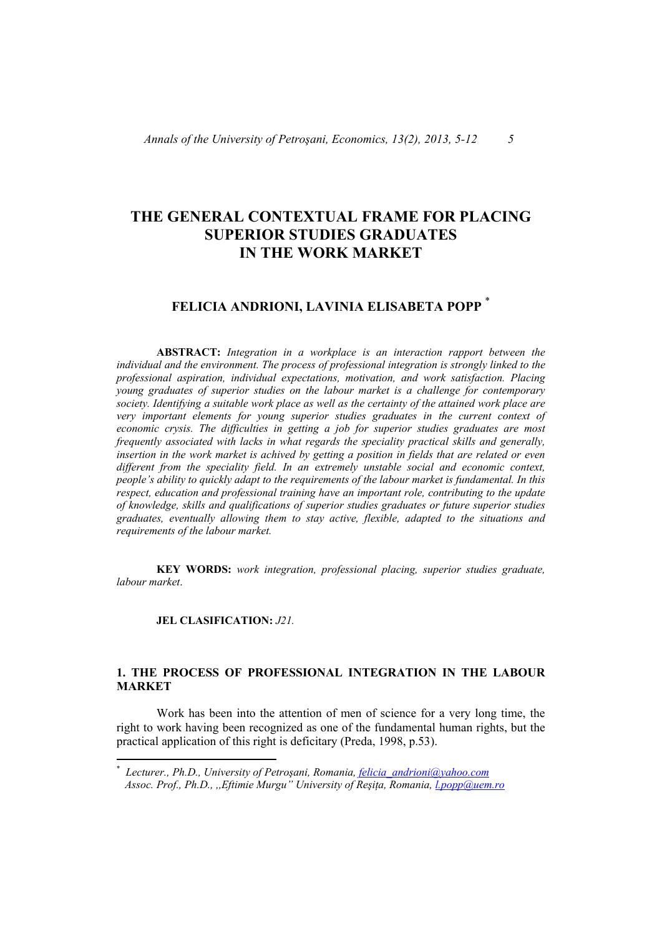# **THE GENERAL CONTEXTUAL FRAME FOR PLACING SUPERIOR STUDIES GRADUATES IN THE WORK MARKET**

# **FELICIA ANDRIONI, LAVINIA ELISABETA POPP** \*

 **ABSTRACT:** *Integration in a workplace is an interaction rapport between the individual and the environment. The process of professional integration is strongly linked to the professional aspiration, individual expectations, motivation, and work satisfaction. Placing young graduates of superior studies on the labour market is a challenge for contemporary society. Identifying a suitable work place as well as the certainty of the attained work place are very important elements for young superior studies graduates in the current context of economic crysis. The difficulties in getting a job for superior studies graduates are most frequently associated with lacks in what regards the speciality practical skills and generally, insertion in the work market is achived by getting a position in fields that are related or even different from the speciality field. In an extremely unstable social and economic context, people's ability to quickly adapt to the requirements of the labour market is fundamental. In this respect, education and professional training have an important role, contributing to the update of knowledge, skills and qualifications of superior studies graduates or future superior studies graduates, eventually allowing them to stay active, flexible, adapted to the situations and requirements of the labour market.* 

 **KEY WORDS:** *work integration, professional placing, superior studies graduate, labour market*.

#### **JEL CLASIFICATION:** *J21.*

## **1. THE PROCESS OF PROFESSIONAL INTEGRATION IN THE LABOUR MARKET**

Work has been into the attention of men of science for a very long time, the right to work having been recognized as one of the fundamental human rights, but the practical application of this right is deficitary (Preda, 1998, p.53).

<sup>\*</sup> *Lecturer., Ph.D., University of Petroşani, Romania, felicia\_andrioni@yahoo.com Assoc. Prof., Ph.D., ,,Eftimie Murgu" University of Reşiţa, Romania, l.popp@uem.ro*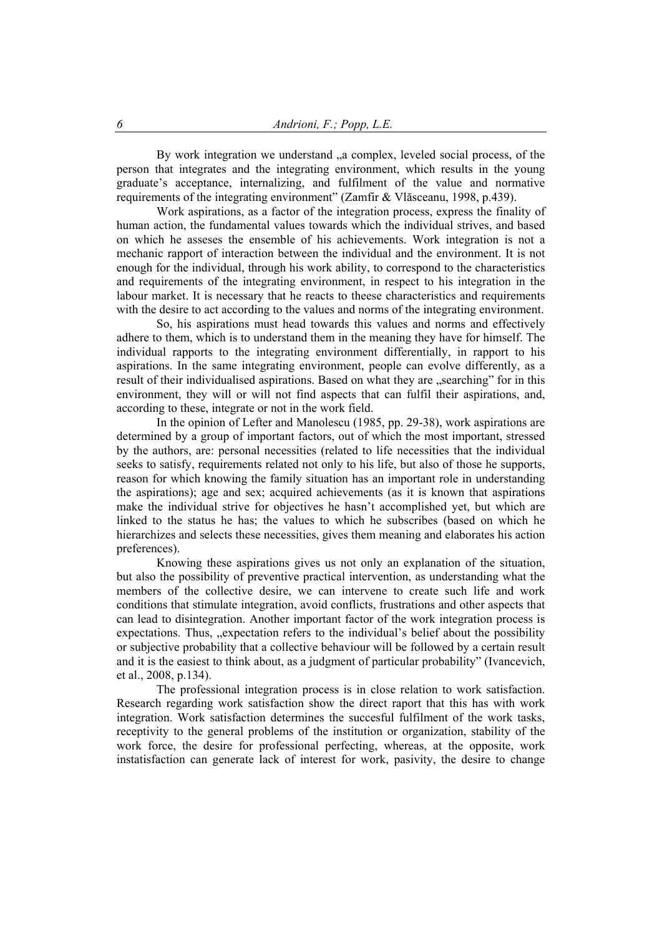By work integration we understand ..a complex, leveled social process, of the person that integrates and the integrating environment, which results in the young graduate's acceptance, internalizing, and fulfilment of the value and normative requirements of the integrating environment" (Zamfir & Vlăsceanu, 1998, p.439).

 Work aspirations, as a factor of the integration process, express the finality of human action, the fundamental values towards which the individual strives, and based on which he asseses the ensemble of his achievements. Work integration is not a mechanic rapport of interaction between the individual and the environment. It is not enough for the individual, through his work ability, to correspond to the characteristics and requirements of the integrating environment, in respect to his integration in the labour market. It is necessary that he reacts to theese characteristics and requirements with the desire to act according to the values and norms of the integrating environment.

 So, his aspirations must head towards this values and norms and effectively adhere to them, which is to understand them in the meaning they have for himself. The individual rapports to the integrating environment differentially, in rapport to his aspirations. In the same integrating environment, people can evolve differently, as a result of their individualised aspirations. Based on what they are "searching" for in this environment, they will or will not find aspects that can fulfil their aspirations, and, according to these, integrate or not in the work field.

 In the opinion of Lefter and Manolescu (1985, pp. 29-38), work aspirations are determined by a group of important factors, out of which the most important, stressed by the authors, are: personal necessities (related to life necessities that the individual seeks to satisfy, requirements related not only to his life, but also of those he supports, reason for which knowing the family situation has an important role in understanding the aspirations); age and sex; acquired achievements (as it is known that aspirations make the individual strive for objectives he hasn't accomplished yet, but which are linked to the status he has; the values to which he subscribes (based on which he hierarchizes and selects these necessities, gives them meaning and elaborates his action preferences).

 Knowing these aspirations gives us not only an explanation of the situation, but also the possibility of preventive practical intervention, as understanding what the members of the collective desire, we can intervene to create such life and work conditions that stimulate integration, avoid conflicts, frustrations and other aspects that can lead to disintegration. Another important factor of the work integration process is expectations. Thus, ..expectation refers to the individual's belief about the possibility or subjective probability that a collective behaviour will be followed by a certain result and it is the easiest to think about, as a judgment of particular probability" (Ivancevich, et al., 2008, p.134).

 The professional integration process is in close relation to work satisfaction. Research regarding work satisfaction show the direct raport that this has with work integration. Work satisfaction determines the succesful fulfilment of the work tasks, receptivity to the general problems of the institution or organization, stability of the work force, the desire for professional perfecting, whereas, at the opposite, work instatisfaction can generate lack of interest for work, pasivity, the desire to change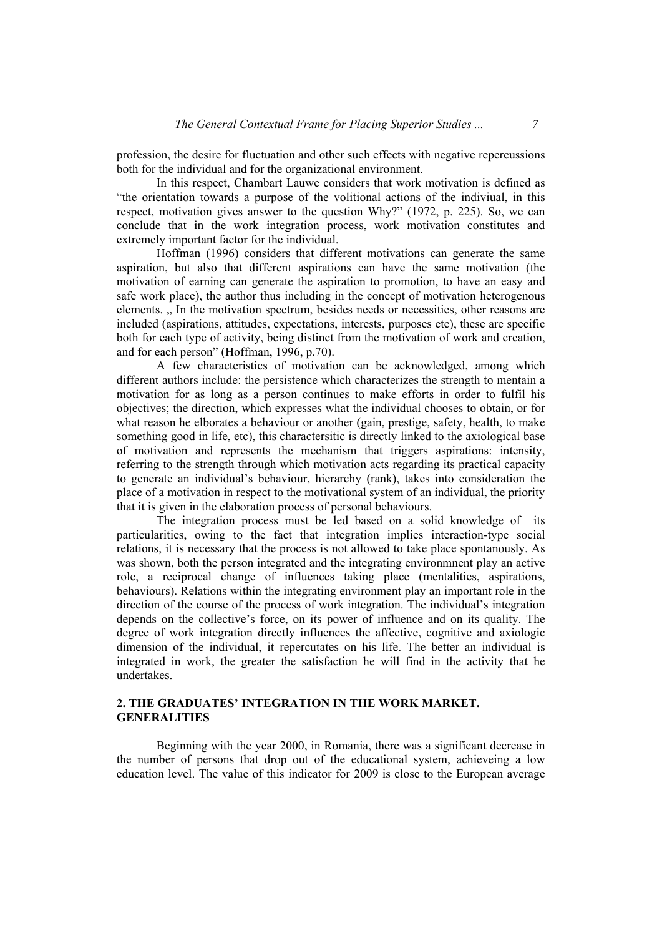profession, the desire for fluctuation and other such effects with negative repercussions both for the individual and for the organizational environment.

 In this respect, Chambart Lauwe considers that work motivation is defined as "the orientation towards a purpose of the volitional actions of the indiviual, in this respect, motivation gives answer to the question Why?" (1972, p. 225). So, we can conclude that in the work integration process, work motivation constitutes and extremely important factor for the individual.

 Hoffman (1996) considers that different motivations can generate the same aspiration, but also that different aspirations can have the same motivation (the motivation of earning can generate the aspiration to promotion, to have an easy and safe work place), the author thus including in the concept of motivation heterogenous elements. .. In the motivation spectrum, besides needs or necessities, other reasons are included (aspirations, attitudes, expectations, interests, purposes etc), these are specific both for each type of activity, being distinct from the motivation of work and creation, and for each person" (Hoffman, 1996, p.70).

 A few characteristics of motivation can be acknowledged, among which different authors include: the persistence which characterizes the strength to mentain a motivation for as long as a person continues to make efforts in order to fulfil his objectives; the direction, which expresses what the individual chooses to obtain, or for what reason he elborates a behaviour or another (gain, prestige, safety, health, to make something good in life, etc), this charactersitic is directly linked to the axiological base of motivation and represents the mechanism that triggers aspirations: intensity, referring to the strength through which motivation acts regarding its practical capacity to generate an individual's behaviour, hierarchy (rank), takes into consideration the place of a motivation in respect to the motivational system of an individual, the priority that it is given in the elaboration process of personal behaviours.

 The integration process must be led based on a solid knowledge of its particularities, owing to the fact that integration implies interaction-type social relations, it is necessary that the process is not allowed to take place spontanously. As was shown, both the person integrated and the integrating environmnent play an active role, a reciprocal change of influences taking place (mentalities, aspirations, behaviours). Relations within the integrating environment play an important role in the direction of the course of the process of work integration. The individual's integration depends on the collective's force, on its power of influence and on its quality. The degree of work integration directly influences the affective, cognitive and axiologic dimension of the individual, it repercutates on his life. The better an individual is integrated in work, the greater the satisfaction he will find in the activity that he undertakes.

# **2. THE GRADUATES' INTEGRATION IN THE WORK MARKET. GENERALITIES**

 Beginning with the year 2000, in Romania, there was a significant decrease in the number of persons that drop out of the educational system, achieveing a low education level. The value of this indicator for 2009 is close to the European average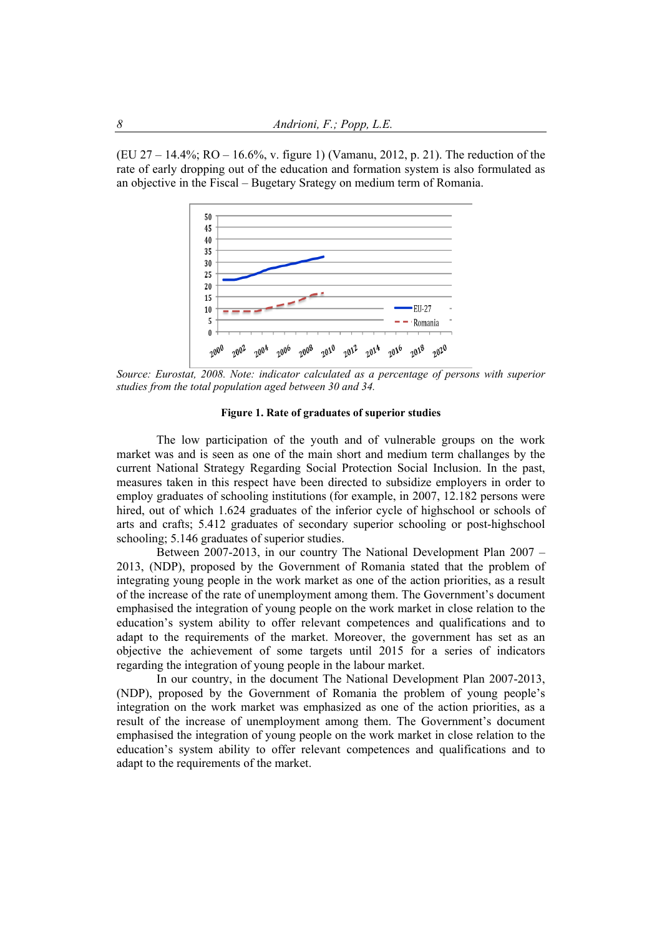(EU 27 – 14.4%; RO – 16.6%, v. figure 1) (Vamanu, 2012, p. 21). The reduction of the rate of early dropping out of the education and formation system is also formulated as an objective in the Fiscal – Bugetary Srategy on medium term of Romania.



*Source: Eurostat, 2008. Note: indicator calculated as a percentage of persons with superior studies from the total population aged between 30 and 34.* 

#### **Figure 1. Rate of graduates of superior studies**

 The low participation of the youth and of vulnerable groups on the work market was and is seen as one of the main short and medium term challanges by the current National Strategy Regarding Social Protection Social Inclusion. In the past, measures taken in this respect have been directed to subsidize employers in order to employ graduates of schooling institutions (for example, in 2007, 12.182 persons were hired, out of which 1.624 graduates of the inferior cycle of highschool or schools of arts and crafts; 5.412 graduates of secondary superior schooling or post-highschool schooling; 5.146 graduates of superior studies.

 Between 2007-2013, in our country The National Development Plan 2007 – 2013, (NDP), proposed by the Government of Romania stated that the problem of integrating young people in the work market as one of the action priorities, as a result of the increase of the rate of unemployment among them. The Government's document emphasised the integration of young people on the work market in close relation to the education's system ability to offer relevant competences and qualifications and to adapt to the requirements of the market. Moreover, the government has set as an objective the achievement of some targets until 2015 for a series of indicators regarding the integration of young people in the labour market.

 In our country, in the document The National Development Plan 2007-2013, (NDP), proposed by the Government of Romania the problem of young people's integration on the work market was emphasized as one of the action priorities, as a result of the increase of unemployment among them. The Government's document emphasised the integration of young people on the work market in close relation to the education's system ability to offer relevant competences and qualifications and to adapt to the requirements of the market.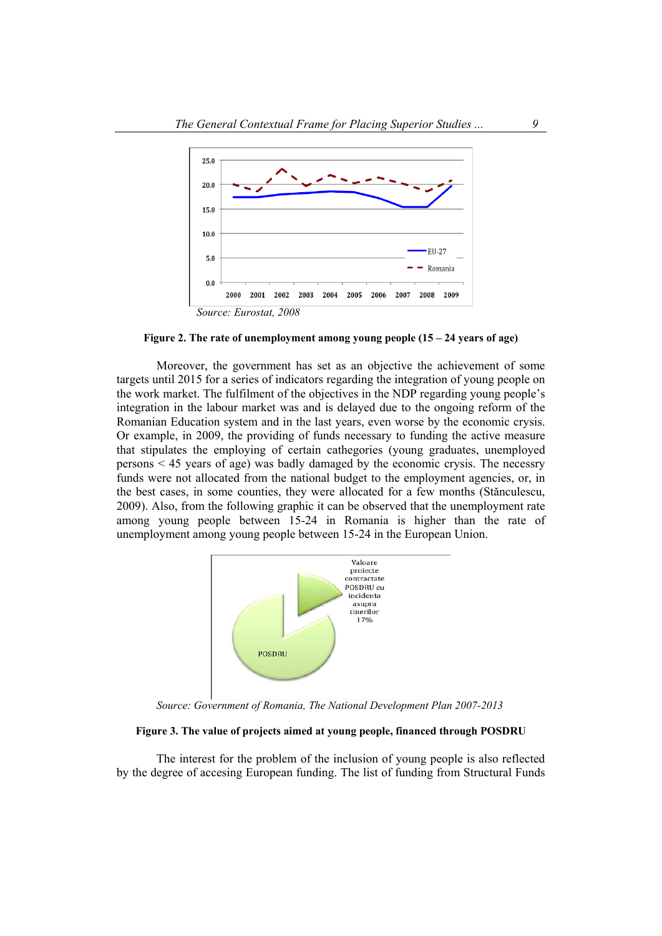

**Figure 2. The rate of unemployment among young people (15 – 24 years of age)**

 Moreover, the government has set as an objective the achievement of some targets until 2015 for a series of indicators regarding the integration of young people on the work market. The fulfilment of the objectives in the NDP regarding young people's integration in the labour market was and is delayed due to the ongoing reform of the Romanian Education system and in the last years, even worse by the economic crysis. Or example, in 2009, the providing of funds necessary to funding the active measure that stipulates the employing of certain cathegories (young graduates, unemployed persons < 45 years of age) was badly damaged by the economic crysis. The necessry funds were not allocated from the national budget to the employment agencies, or, in the best cases, in some counties, they were allocated for a few months (Stănculescu, 2009). Also, from the following graphic it can be observed that the unemployment rate among young people between 15-24 in Romania is higher than the rate of unemployment among young people between 15-24 in the European Union.



 *Source: Government of Romania, The National Development Plan 2007-2013*

#### **Figure 3. The value of projects aimed at young people, financed through POSDRU**

 The interest for the problem of the inclusion of young people is also reflected by the degree of accesing European funding. The list of funding from Structural Funds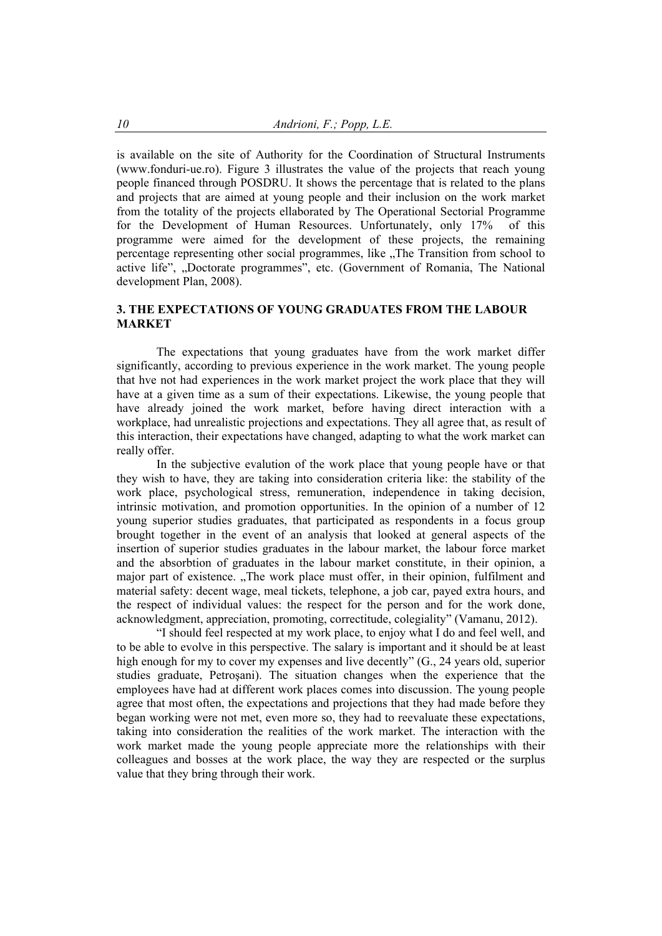is available on the site of Authority for the Coordination of Structural Instruments (www.fonduri-ue.ro). Figure 3 illustrates the value of the projects that reach young people financed through POSDRU. It shows the percentage that is related to the plans and projects that are aimed at young people and their inclusion on the work market from the totality of the projects ellaborated by The Operational Sectorial Programme for the Development of Human Resources. Unfortunately, only 17% of this programme were aimed for the development of these projects, the remaining percentage representing other social programmes, like "The Transition from school to" active life", "Doctorate programmes", etc. (Government of Romania, The National development Plan, 2008).

# **3. THE EXPECTATIONS OF YOUNG GRADUATES FROM THE LABOUR MARKET**

 The expectations that young graduates have from the work market differ significantly, according to previous experience in the work market. The young people that hve not had experiences in the work market project the work place that they will have at a given time as a sum of their expectations. Likewise, the young people that have already joined the work market, before having direct interaction with a workplace, had unrealistic projections and expectations. They all agree that, as result of this interaction, their expectations have changed, adapting to what the work market can really offer.

 In the subjective evalution of the work place that young people have or that they wish to have, they are taking into consideration criteria like: the stability of the work place, psychological stress, remuneration, independence in taking decision, intrinsic motivation, and promotion opportunities. In the opinion of a number of 12 young superior studies graduates, that participated as respondents in a focus group brought together in the event of an analysis that looked at general aspects of the insertion of superior studies graduates in the labour market, the labour force market and the absorbtion of graduates in the labour market constitute, in their opinion, a major part of existence. "The work place must offer, in their opinion, fulfilment and material safety: decent wage, meal tickets, telephone, a job car, payed extra hours, and the respect of individual values: the respect for the person and for the work done, acknowledgment, appreciation, promoting, correctitude, colegiality" (Vamanu, 2012).

 "I should feel respected at my work place, to enjoy what I do and feel well, and to be able to evolve in this perspective. The salary is important and it should be at least high enough for my to cover my expenses and live decently" (G., 24 years old, superior studies graduate, Petroşani). The situation changes when the experience that the employees have had at different work places comes into discussion. The young people agree that most often, the expectations and projections that they had made before they began working were not met, even more so, they had to reevaluate these expectations, taking into consideration the realities of the work market. The interaction with the work market made the young people appreciate more the relationships with their colleagues and bosses at the work place, the way they are respected or the surplus value that they bring through their work.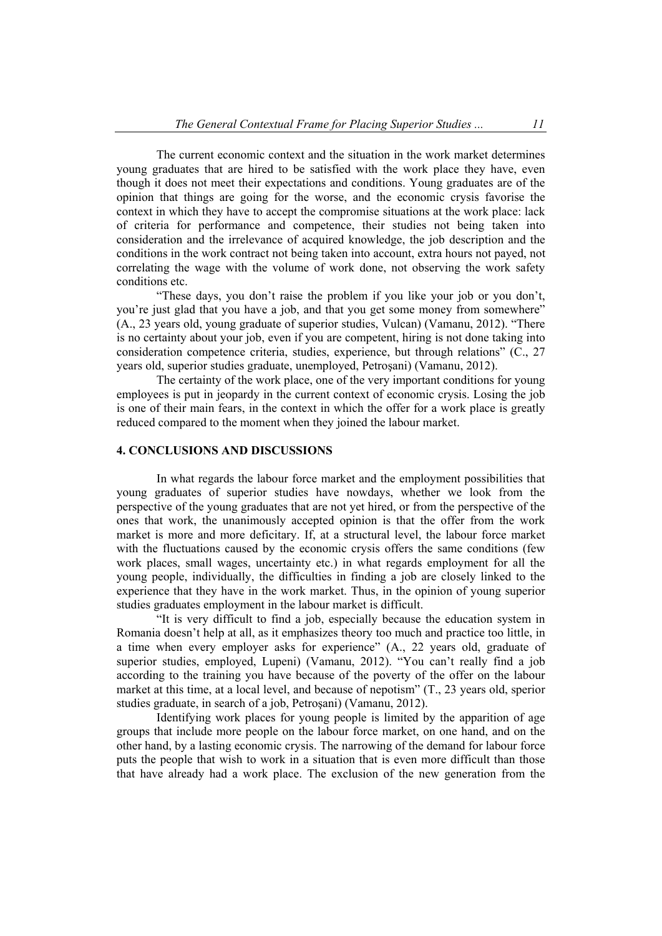The current economic context and the situation in the work market determines young graduates that are hired to be satisfied with the work place they have, even though it does not meet their expectations and conditions. Young graduates are of the opinion that things are going for the worse, and the economic crysis favorise the context in which they have to accept the compromise situations at the work place: lack of criteria for performance and competence, their studies not being taken into consideration and the irrelevance of acquired knowledge, the job description and the conditions in the work contract not being taken into account, extra hours not payed, not correlating the wage with the volume of work done, not observing the work safety conditions etc.

 "These days, you don't raise the problem if you like your job or you don't, you're just glad that you have a job, and that you get some money from somewhere" (A., 23 years old, young graduate of superior studies, Vulcan) (Vamanu, 2012). "There is no certainty about your job, even if you are competent, hiring is not done taking into consideration competence criteria, studies, experience, but through relations" (C., 27 years old, superior studies graduate, unemployed, Petroşani) (Vamanu, 2012).

 The certainty of the work place, one of the very important conditions for young employees is put in jeopardy in the current context of economic crysis. Losing the job is one of their main fears, in the context in which the offer for a work place is greatly reduced compared to the moment when they joined the labour market.

## **4. CONCLUSIONS AND DISCUSSIONS**

 In what regards the labour force market and the employment possibilities that young graduates of superior studies have nowdays, whether we look from the perspective of the young graduates that are not yet hired, or from the perspective of the ones that work, the unanimously accepted opinion is that the offer from the work market is more and more deficitary. If, at a structural level, the labour force market with the fluctuations caused by the economic crysis offers the same conditions (few work places, small wages, uncertainty etc.) in what regards employment for all the young people, individually, the difficulties in finding a job are closely linked to the experience that they have in the work market. Thus, in the opinion of young superior studies graduates employment in the labour market is difficult.

 "It is very difficult to find a job, especially because the education system in Romania doesn't help at all, as it emphasizes theory too much and practice too little, in a time when every employer asks for experience" (A., 22 years old, graduate of superior studies, employed, Lupeni) (Vamanu, 2012). "You can't really find a job according to the training you have because of the poverty of the offer on the labour market at this time, at a local level, and because of nepotism" (T., 23 years old, sperior studies graduate, in search of a job, Petroşani) (Vamanu, 2012).

 Identifying work places for young people is limited by the apparition of age groups that include more people on the labour force market, on one hand, and on the other hand, by a lasting economic crysis. The narrowing of the demand for labour force puts the people that wish to work in a situation that is even more difficult than those that have already had a work place. The exclusion of the new generation from the